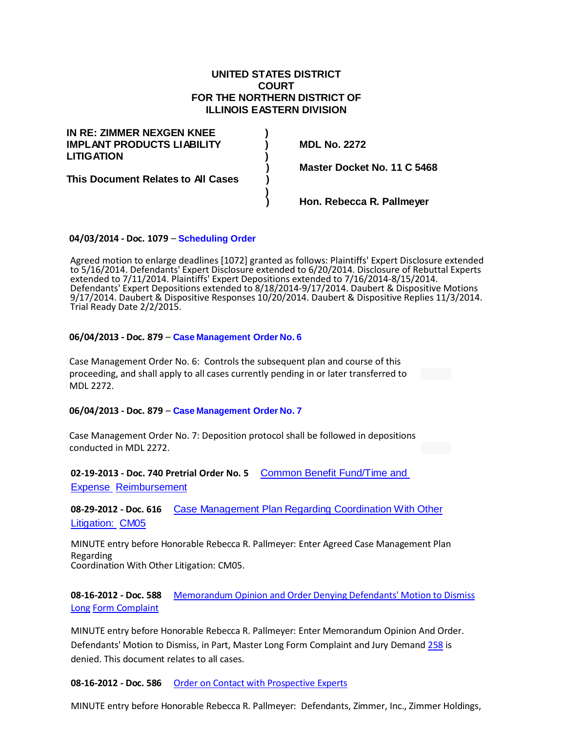# **UNITED STATES DISTRICT COURT FOR THE NORTHERN DISTRICT OF ILLINOIS EASTERN DIVISION**

| IN RE: ZIMMER NEXGEN KNEE          |  |
|------------------------------------|--|
| <b>IMPLANT PRODUCTS LIABILITY</b>  |  |
| <b>LITIGATION</b>                  |  |
|                                    |  |
| This Document Relates to All Cases |  |
|                                    |  |
|                                    |  |

**IMPLANT PRODUCTS LIABILITY ) MDL No. 2272**

**) Master Docket No. 11 C 5468**

**) Hon. Rebecca R. Pallmeyer**

#### **04/03/2014 - Doc. 1079** – **[Scheduling Order](http://www.ilnd.uscourts.gov/home/_assets/_documents/webdocs/pallmeyer/11c5468.pdf)**

Agreed motion to enlarge deadlines [1072] granted as follows: Plaintiffs' Expert Disclosure extended to 5/16/2014. Defendants' Expert Disclosure extended to 6/20/2014. Disclosure of Rebuttal Experts extended to 7/11/2014. Plaintiffs' Expert Depositions extended to 7/16/2014-8/15/2014. Defendants' Expert Depositions extended to 8/18/2014-9/17/2014. Daubert & Dispositive Motions 9/17/2014. Daubert & Dispositive Responses 10/20/2014. Daubert & Dispositive Replies 11/3/2014. Trial Ready Date 2/2/2015.

#### **06/04/2013 - Doc. 879** – **Case [Management](http://www.ilnd.uscourts.gov/home/_assets/_news/zimmer/no6.pdf) Order No. 6**

Case Management Order No. 6: Controls the subsequent plan and course of this proceeding, and shall apply to all cases currently pending in or later transferred to MDL 2272.

#### **06/04/2013 - Doc. 879** – **Case [Management](http://www.ilnd.uscourts.gov/home/_assets/_news/zimmer/no7.pdf) Order No. 7**

Case Management Order No. 7: Deposition protocol shall be followed in depositions conducted in MDL 2272.

**02-19-2013 - Doc. 740 Pretrial Order No. 5** Common [Benefit Fund/Time](http://www.ilnd.uscourts.gov/home/_assets/_news/zimmer/740.pdf) and [Expense Reimbursement](http://www.ilnd.uscourts.gov/home/_assets/_news/zimmer/740.pdf)

**08-29-2012 - Doc. 616** Case [Management](http://www.ilnd.uscourts.gov/home/_assets/_news/zimmer/616.pdf) Plan Regarding Coordination With Other [Litigation: CM05](http://www.ilnd.uscourts.gov/home/_assets/_news/zimmer/616.pdf)

MINUTE entry before Honorable Rebecca R. Pallmeyer: Enter Agreed Case Management Plan Regarding Coordination With Other Litigation: CM05.

**08-16-2012 - Doc. 588** [Memorandum](http://www.ilnd.uscourts.gov/home/_assets/_news/zimmer/588.pdf) Opinion and Order Denying Defendants' Motion to Dismiss [Long](http://www.ilnd.uscourts.gov/home/_assets/_news/zimmer/588.pdf) Form [Complaint](http://www.ilnd.uscourts.gov/home/_assets/_news/zimmer/588.pdf)

MINUTE entry before Honorable Rebecca R. Pallmeyer: Enter Memorandum Opinion And Order. Defendants' Motion to Dismiss, in Part, Master Long Form Complaint and Jury Demand [258](https://ecf.ilnd.uscourts.gov/doc1/067110583929) is denied. This document relates to all cases.

**08-16-2012 - Doc. 586** Order on Contact with [Prospective](http://www.ilnd.uscourts.gov/home/_assets/_news/zimmer/586.pdf) Experts

MINUTE entry before Honorable Rebecca R. Pallmeyer: Defendants, Zimmer, Inc., Zimmer Holdings,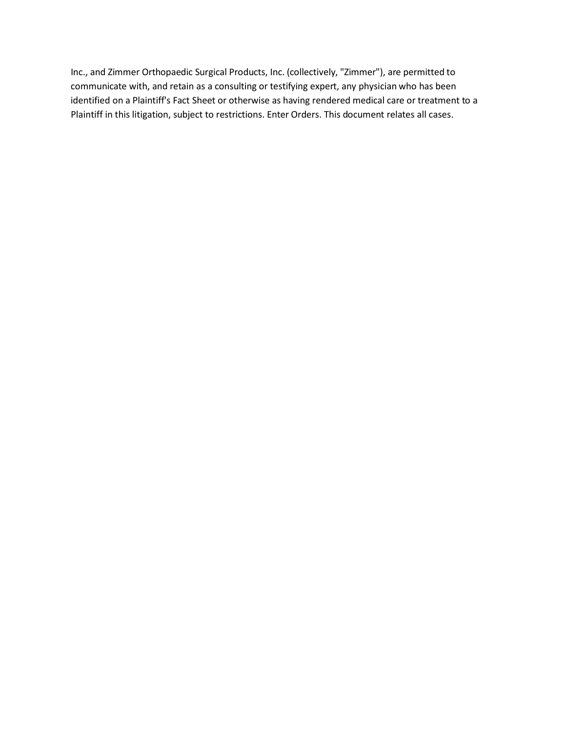Inc., and Zimmer Orthopaedic Surgical Products, Inc. (collectively, "Zimmer"), are permitted to communicate with, and retain as a consulting or testifying expert, any physician who has been identified on a Plaintiff's Fact Sheet or otherwise as having rendered medical care or treatment to a Plaintiff in this litigation, subject to restrictions. Enter Orders. This document relates all cases.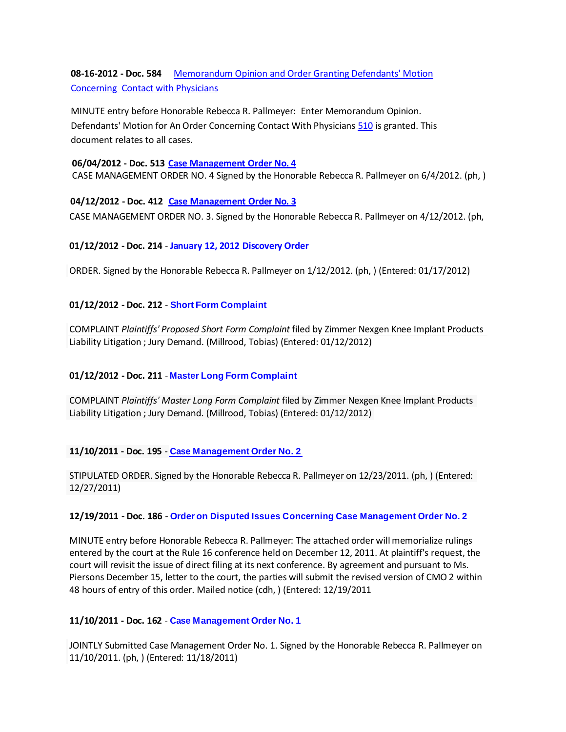**08-16-2012 - Doc. 584** [Memorandum](http://www.ilnd.uscourts.gov/home/_assets/_news/zimmer/584.pdf) Opinion and Order Granting Defendants' Motion [Concerning C](http://www.ilnd.uscourts.gov/home/_assets/_news/zimmer/584.pdf)ontact with [Physicians](http://www.ilnd.uscourts.gov/home/_assets/_news/zimmer/584.pdf)

MINUTE entry before Honorable Rebecca R. Pallmeyer: Enter Memorandum Opinion. Defendants' Motion for An Order Concerning Contact With Physicians [510](https://ecf.ilnd.uscourts.gov/doc1/067111038871) is granted. This document relates to all cases.

#### **06/04/2012 - Doc. 513 Case [Management](http://www.ilnd.uscourts.gov/home/_assets/_news/zimmer/Zimmer%20Order%204.pdf) Order No. 4**

CASE MANAGEMENT ORDER NO. 4 Signed by the Honorable Rebecca R. Pallmeyer on 6/4/2012. (ph, )

**04/12/2012 - Doc. 412 [Case Management](http://www.ilnd.uscourts.gov/home/_assets/_news/zimmer/11-cv-5468-412.pdf) Order No. 3** CASE MANAGEMENT ORDER NO. 3. Signed by the Honorable Rebecca R. Pallmeyer on 4/12/2012. (ph,

# **01/12/2012 - Doc. 214** - **January 12, 2012 [Discovery](http://www.ilnd.uscourts.gov/home/_assets/_news/zimmer/214.pdf) Order**

ORDER. Signed by the Honorable Rebecca R. Pallmeyer on 1/12/2012. (ph, ) (Entered: 01/17/2012)

# **01/12/2012 - Doc. 212** - **Short Form [Complaint](http://www.ilnd.uscourts.gov/home/_assets/_news/zimmer/212.pdf)**

COMPLAINT *Plaintiffs' Proposed Short Form Complaint* filed by Zimmer Nexgen Knee Implant Products Liability Litigation ; Jury Demand. (Millrood, Tobias) (Entered: 01/12/2012)

# **01/12/2012 - Doc. 211** - **Master Long Form [Complaint](http://www.ilnd.uscourts.gov/home/_assets/_news/zimmer/211.pdf)**

COMPLAINT *Plaintiffs' Master Long Form Complaint* filed by Zimmer Nexgen Knee Implant Products Liability Litigation ; Jury Demand. (Millrood, Tobias) (Entered: 01/12/2012)

# **11/10/2011 - Doc. 195** - **Case [Management](http://www.ilnd.uscourts.gov/home/_assets/_news/zimmer/195.pdf) Order No. 2**

STIPULATED ORDER. Signed by the Honorable Rebecca R. Pallmeyer on 12/23/2011. (ph, ) (Entered: 12/27/2011)

# **12/19/2011 - Doc. 186** - **Order on Disputed Issues Concerning Case [Management](http://www.ilnd.uscourts.gov/home/_assets/_news/zimmer/186.pdf) Order No. 2**

MINUTE entry before Honorable Rebecca R. Pallmeyer: The attached order will memorialize rulings entered by the court at the Rule 16 conference held on December 12, 2011. At plaintiff's request, the court will revisit the issue of direct filing at its next conference. By agreement and pursuant to Ms. Piersons December 15, letter to the court, the parties will submit the revised version of CMO 2 within 48 hours of entry of this order. Mailed notice (cdh, ) (Entered: 12/19/2011

# **11/10/2011 - Doc. 162** - **Case [Management](http://www.ilnd.uscourts.gov/home/_assets/_news/zimmer/162.pdf) Order No. 1**

JOINTLY Submitted Case Management Order No. 1. Signed by the Honorable Rebecca R. Pallmeyer on 11/10/2011. (ph, ) (Entered: 11/18/2011)